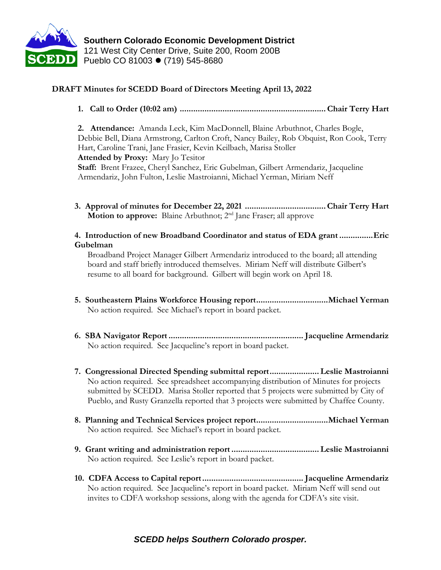

## **DRAFT Minutes for SCEDD Board of Directors Meeting April 13, 2022**

**1. Call to Order (10:02 am) .................................................................Chair Terry Hart** 

**2. Attendance:** Amanda Leck, Kim MacDonnell, Blaine Arbuthnot, Charles Bogle, Debbie Bell, Diana Armstrong, Carlton Croft, Nancy Bailey, Rob Obquist, Ron Cook, Terry Hart, Caroline Trani, Jane Frasier, Kevin Keilbach, Marisa Stoller **Attended by Proxy:** Mary Jo Tesitor **Staff:** Brent Frazee, Cheryl Sanchez, Eric Gubelman, Gilbert Armendariz, Jacqueline Armendariz, John Fulton, Leslie Mastroianni, Michael Yerman, Miriam Neff

- **3. Approval of minutes for December 22, 2021 ....................................Chair Terry Hart Motion to approve:** Blaine Arbuthnot; 2<sup>nd</sup> Jane Fraser; all approve
- **4. Introduction of new Broadband Coordinator and status of EDA grant ...............Eric Gubelman**

Broadband Project Manager Gilbert Armendariz introduced to the board; all attending board and staff briefly introduced themselves. Miriam Neff will distribute Gilbert's resume to all board for background. Gilbert will begin work on April 18.

- **5. Southeastern Plains Workforce Housing report................................Michael Yerman** No action required. See Michael's report in board packet.
- **6. SBA Navigator Report............................................................ Jacqueline Armendariz** No action required. See Jacqueline's report in board packet.
- **7. Congressional Directed Spending submittal report...................... Leslie Mastroianni** No action required. See spreadsheet accompanying distribution of Minutes for projects submitted by SCEDD. Marisa Stoller reported that 5 projects were submitted by City of Pueblo, and Rusty Granzella reported that 3 projects were submitted by Chaffee County.
- **8. Planning and Technical Services project report................................Michael Yerman** No action required. See Michael's report in board packet.
- **9. Grant writing and administration report ....................................... Leslie Mastroianni** No action required. See Leslie's report in board packet.
- **10. CDFA Access to Capital report............................................. Jacqueline Armendariz** No action required. See Jacqueline's report in board packet. Miriam Neff will send out invites to CDFA workshop sessions, along with the agenda for CDFA's site visit.